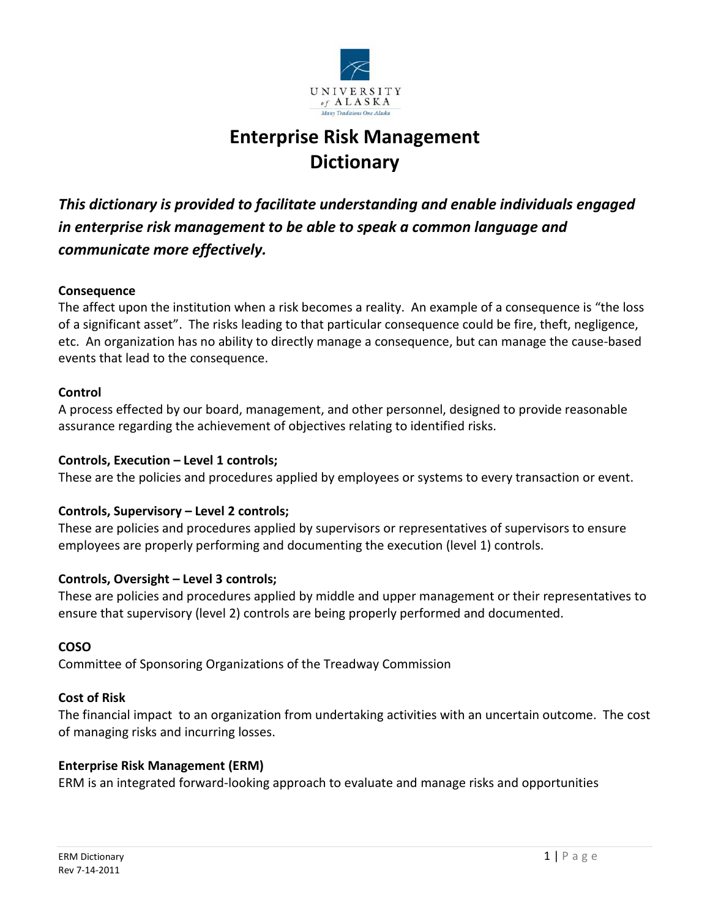

# **Enterprise Risk Management Dictionary**

*This dictionary is provided to facilitate understanding and enable individuals engaged in enterprise risk management to be able to speak a common language and communicate more effectively.* 

## **Consequence**

The affect upon the institution when a risk becomes a reality. An example of a consequence is "the loss of a significant asset". The risks leading to that particular consequence could be fire, theft, negligence, etc. An organization has no ability to directly manage a consequence, but can manage the cause-based events that lead to the consequence.

## **Control**

A process effected by our board, management, and other personnel, designed to provide reasonable assurance regarding the achievement of objectives relating to identified risks.

## **Controls, Execution – Level 1 controls;**

These are the policies and procedures applied by employees or systems to every transaction or event.

## **Controls, Supervisory – Level 2 controls;**

These are policies and procedures applied by supervisors or representatives of supervisors to ensure employees are properly performing and documenting the execution (level 1) controls.

## **Controls, Oversight – Level 3 controls;**

These are policies and procedures applied by middle and upper management or their representatives to ensure that supervisory (level 2) controls are being properly performed and documented.

## **COSO**

Committee of Sponsoring Organizations of the Treadway Commission

## **Cost of Risk**

The financial impact to an organization from undertaking activities with an uncertain outcome. The cost of managing risks and incurring losses.

## **Enterprise Risk Management (ERM)**

ERM is an integrated forward-looking approach to evaluate and manage risks and opportunities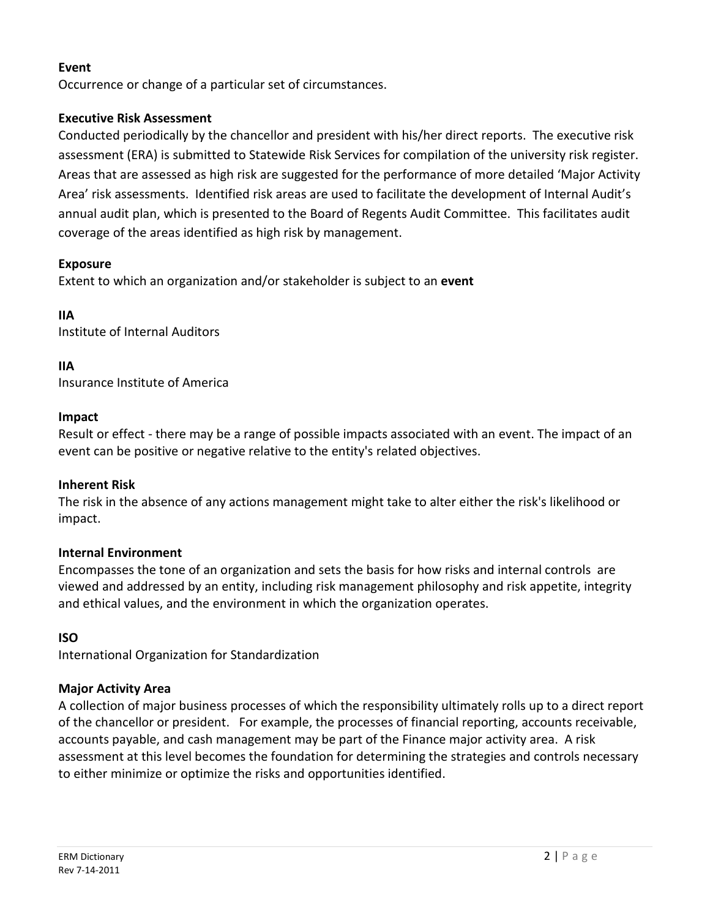## **Event**

Occurrence or change of a particular set of circumstances.

## **Executive Risk Assessment**

Conducted periodically by the chancellor and president with his/her direct reports. The executive risk assessment (ERA) is submitted to Statewide Risk Services for compilation of the university risk register. Areas that are assessed as high risk are suggested for the performance of more detailed 'Major Activity Area' risk assessments. Identified risk areas are used to facilitate the development of Internal Audit's annual audit plan, which is presented to the Board of Regents Audit Committee. This facilitates audit coverage of the areas identified as high risk by management.

## **Exposure**

Extent to which an organization and/or stakeholder is subject to an **event**

## **IIA**

Institute of Internal Auditors

## **IIA**

Insurance Institute of America

## **Impact**

Result or effect - there may be a range of possible impacts associated with an event. The impact of an event can be positive or negative relative to the entity's related objectives.

## **Inherent Risk**

The risk in the absence of any actions management might take to alter either the risk's likelihood or impact.

## **Internal Environment**

Encompasses the tone of an organization and sets the basis for how risks and internal controls are viewed and addressed by an entity, including risk management philosophy and risk appetite, integrity and ethical values, and the environment in which the organization operates.

# **ISO**

International Organization for Standardization

## **Major Activity Area**

A collection of major business processes of which the responsibility ultimately rolls up to a direct report of the chancellor or president. For example, the processes of financial reporting, accounts receivable, accounts payable, and cash management may be part of the Finance major activity area. A risk assessment at this level becomes the foundation for determining the strategies and controls necessary to either minimize or optimize the risks and opportunities identified.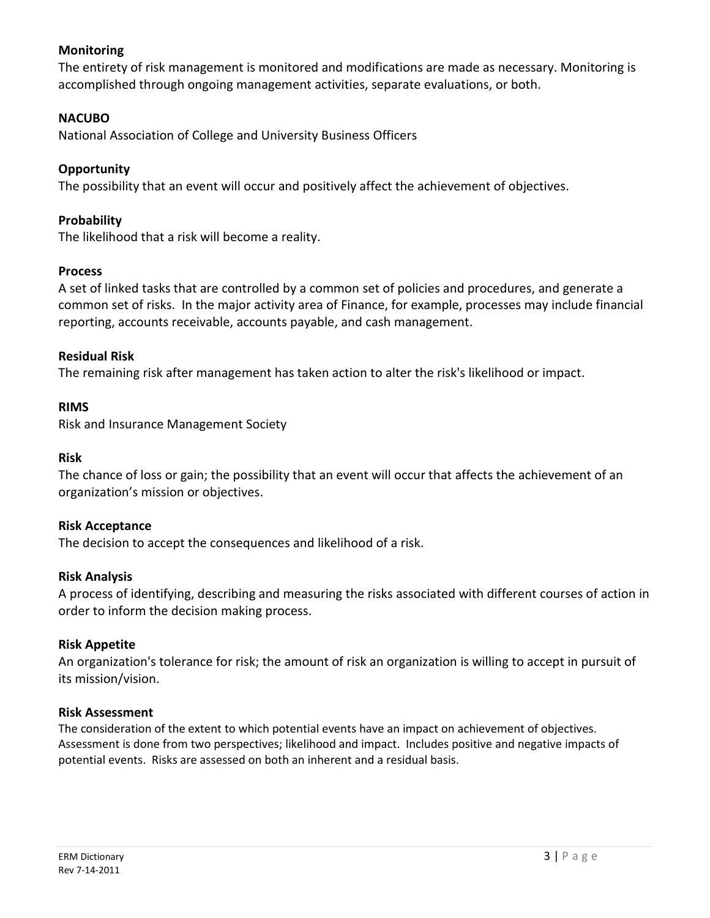## **Monitoring**

The entirety of risk management is monitored and modifications are made as necessary. Monitoring is accomplished through ongoing management activities, separate evaluations, or both.

## **NACUBO**

National Association of College and University Business Officers

## **Opportunity**

The possibility that an event will occur and positively affect the achievement of objectives.

## **Probability**

The likelihood that a risk will become a reality.

## **Process**

A set of linked tasks that are controlled by a common set of policies and procedures, and generate a common set of risks. In the major activity area of Finance, for example, processes may include financial reporting, accounts receivable, accounts payable, and cash management.

## **Residual Risk**

The remaining risk after management has taken action to alter the risk's likelihood or impact.

#### **RIMS**

Risk and Insurance Management Society

## **Risk**

The chance of loss or gain; the possibility that an event will occur that affects the achievement of an organization's mission or objectives.

## **Risk Acceptance**

The decision to accept the consequences and likelihood of a risk.

## **Risk Analysis**

A process of identifying, describing and measuring the risks associated with different courses of action in order to inform the decision making process.

## **Risk Appetite**

An organization's tolerance for risk; the amount of risk an organization is willing to accept in pursuit of its mission/vision.

#### **Risk Assessment**

The consideration of the extent to which potential events have an impact on achievement of objectives. Assessment is done from two perspectives; likelihood and impact. Includes positive and negative impacts of potential events. Risks are assessed on both an inherent and a residual basis.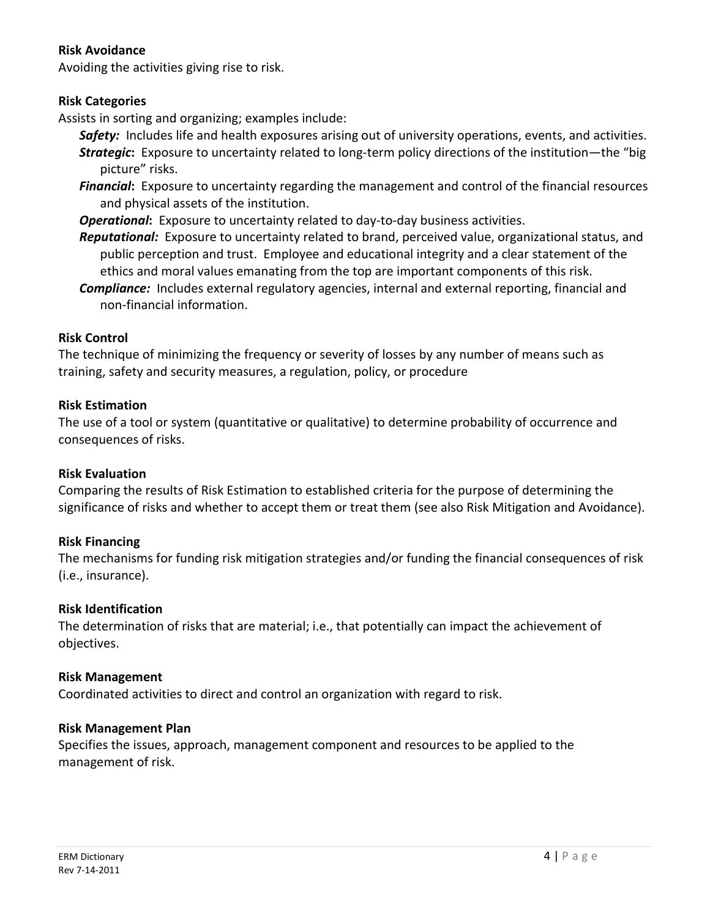## **Risk Avoidance**

Avoiding the activities giving rise to risk.

## **Risk Categories**

Assists in sorting and organizing; examples include:

- *Safety:* Includes life and health exposures arising out of university operations, events, and activities. *Strategic***:** Exposure to uncertainty related to long-term policy directions of the institution—the "big picture" risks.
- *Financial***:** Exposure to uncertainty regarding the management and control of the financial resources and physical assets of the institution.
- *Operational***:** Exposure to uncertainty related to day-to-day business activities.
- *Reputational:* Exposure to uncertainty related to brand, perceived value, organizational status, and public perception and trust. Employee and educational integrity and a clear statement of the ethics and moral values emanating from the top are important components of this risk.
- *Compliance:*Includes external regulatory agencies, internal and external reporting, financial and non-financial information.

## **Risk Control**

The technique of minimizing the frequency or severity of losses by any number of means such as training, safety and security measures, a regulation, policy, or procedure

## **Risk Estimation**

The use of a tool or system (quantitative or qualitative) to determine probability of occurrence and consequences of risks.

## **Risk Evaluation**

Comparing the results of Risk Estimation to established criteria for the purpose of determining the significance of risks and whether to accept them or treat them (see also Risk Mitigation and Avoidance).

## **Risk Financing**

The mechanisms for funding risk mitigation strategies and/or funding the financial consequences of risk (i.e., insurance).

## **Risk Identification**

The determination of risks that are material; i.e., that potentially can impact the achievement of objectives.

## **Risk Management**

Coordinated activities to direct and control an organization with regard to risk.

## **Risk Management Plan**

Specifies the issues, approach, management component and resources to be applied to the management of risk.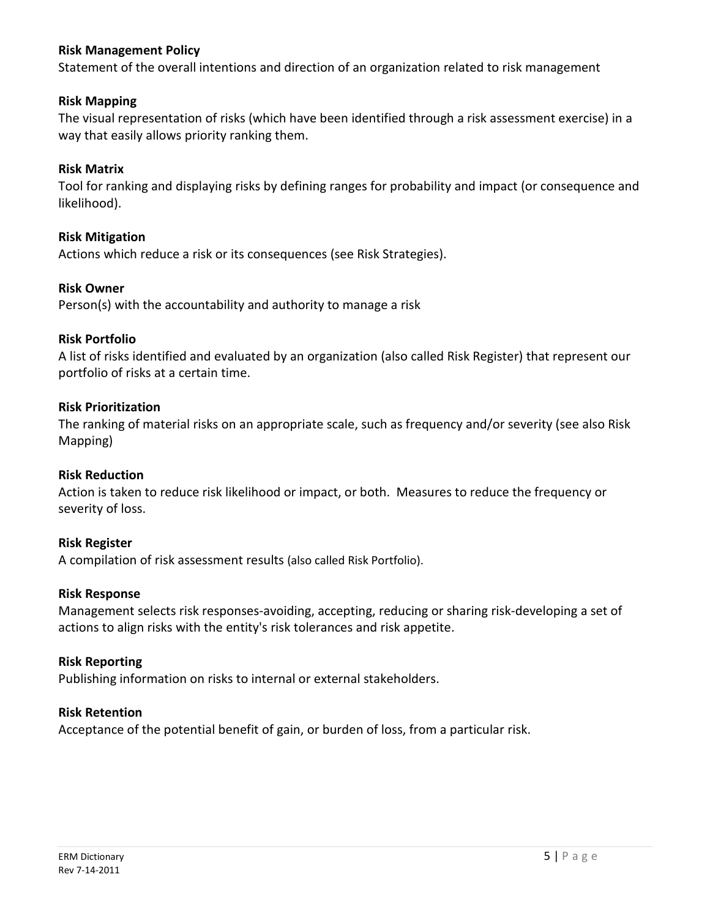## **Risk Management Policy**

Statement of the overall intentions and direction of an organization related to risk management

## **Risk Mapping**

The visual representation of risks (which have been identified through a risk assessment exercise) in a way that easily allows priority ranking them.

## **Risk Matrix**

Tool for ranking and displaying risks by defining ranges for probability and impact (or consequence and likelihood).

## **Risk Mitigation**

Actions which reduce a risk or its consequences (see Risk Strategies).

#### **Risk Owner**

Person(s) with the accountability and authority to manage a risk

#### **Risk Portfolio**

A list of risks identified and evaluated by an organization (also called Risk Register) that represent our portfolio of risks at a certain time.

#### **Risk Prioritization**

The ranking of material risks on an appropriate scale, such as frequency and/or severity (see also Risk Mapping)

## **Risk Reduction**

Action is taken to reduce risk likelihood or impact, or both. Measures to reduce the frequency or severity of loss.

#### **Risk Register**

A compilation of risk assessment results (also called Risk Portfolio).

#### **Risk Response**

Management selects risk responses-avoiding, accepting, reducing or sharing risk-developing a set of actions to align risks with the entity's risk tolerances and risk appetite.

#### **Risk Reporting**

Publishing information on risks to internal or external stakeholders.

#### **Risk Retention**

Acceptance of the potential benefit of gain, or burden of loss, from a particular risk.